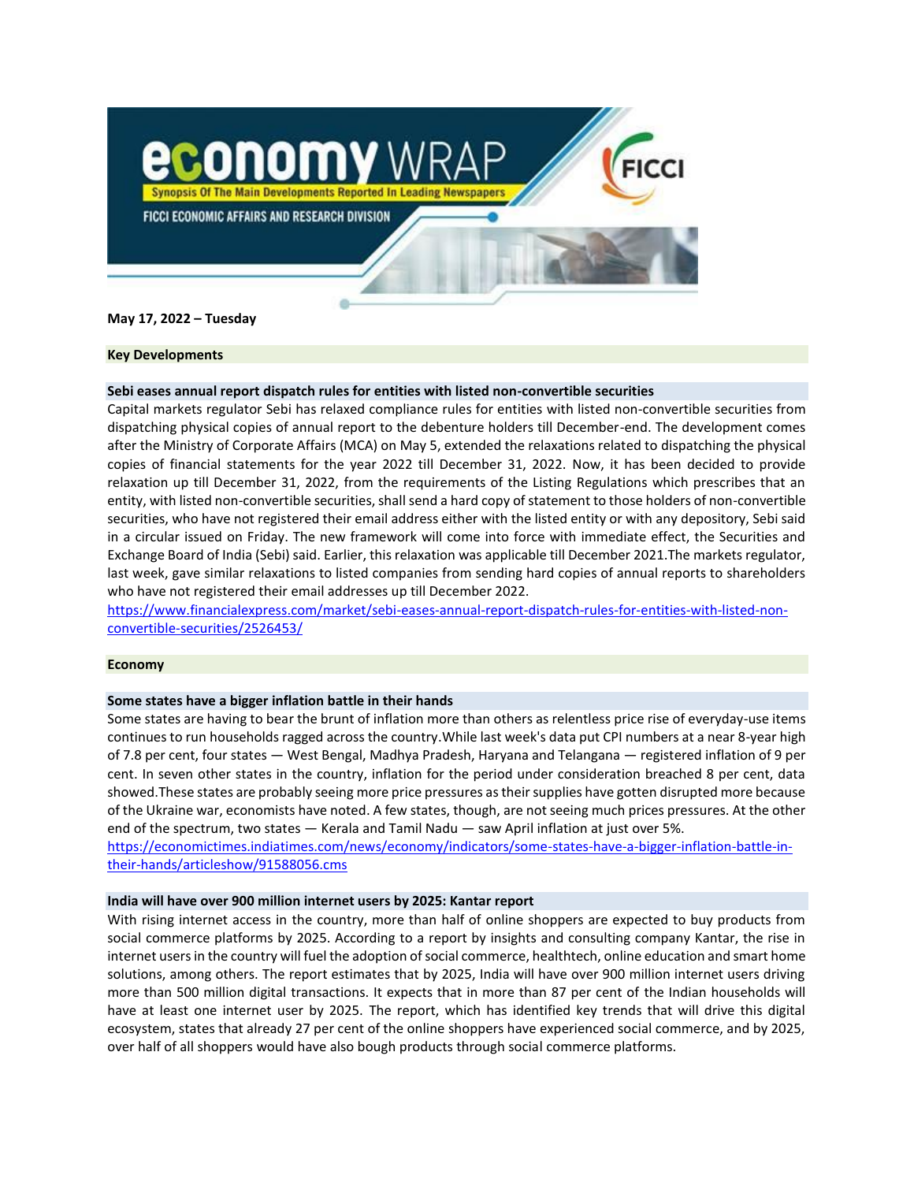

**May 17, 2022 – Tuesday**

# **Key Developments**

# **Sebi eases annual report dispatch rules for entities with listed non-convertible securities**

Capital markets regulator Sebi has relaxed compliance rules for entities with listed non-convertible securities from dispatching physical copies of annual report to the debenture holders till December-end. The development comes after the Ministry of Corporate Affairs (MCA) on May 5, extended the relaxations related to dispatching the physical copies of financial statements for the year 2022 till December 31, 2022. Now, it has been decided to provide relaxation up till December 31, 2022, from the requirements of the Listing Regulations which prescribes that an entity, with listed non-convertible securities, shall send a hard copy of statement to those holders of non-convertible securities, who have not registered their email address either with the listed entity or with any depository, Sebi said in a circular issued on Friday. The new framework will come into force with immediate effect, the Securities and Exchange Board of India (Sebi) said. Earlier, this relaxation was applicable till December 2021.The markets regulator, last week, gave similar relaxations to listed companies from sending hard copies of annual reports to shareholders who have not registered their email addresses up till December 2022.

[https://www.financialexpress.com/market/sebi-eases-annual-report-dispatch-rules-for-entities-with-listed-non](https://www.financialexpress.com/market/sebi-eases-annual-report-dispatch-rules-for-entities-with-listed-non-convertible-securities/2526453/)[convertible-securities/2526453/](https://www.financialexpress.com/market/sebi-eases-annual-report-dispatch-rules-for-entities-with-listed-non-convertible-securities/2526453/)

### **Economy**

### **Some states have a bigger inflation battle in their hands**

Some states are having to bear the brunt of [inflation](https://economictimes.indiatimes.com/definition/inflation) more than others as relentless [price rise](https://economictimes.indiatimes.com/topic/price-rise) of everyday-use items continues to run households ragged across the country.While last week's data put CPI numbers at a near 8-year high of 7.8 per cent, four states — West Bengal, Madhya Pradesh, Haryana and Telangana — registered inflation of 9 per cent. In seven other states in the country, inflation for the period under consideration breached 8 per cent, data showed.These states are probably seeing more price pressures as their supplies have gotten disrupted more because of the Ukraine war, economists have noted. A few states, though, are not seeing much prices pressures. At the other end of the spectrum, two states — Kerala and Tamil Nadu — saw April inflation at just over 5%.

[https://economictimes.indiatimes.com/news/economy/indicators/some-states-have-a-bigger-inflation-battle-in](https://economictimes.indiatimes.com/news/economy/indicators/some-states-have-a-bigger-inflation-battle-in-their-hands/articleshow/91588056.cms)[their-hands/articleshow/91588056.cms](https://economictimes.indiatimes.com/news/economy/indicators/some-states-have-a-bigger-inflation-battle-in-their-hands/articleshow/91588056.cms)

### **India will have over 900 million internet users by 2025: Kantar report**

With rising internet access in the country, more than half of online shoppers are expected to buy products from social commerce platforms by 2025. According to a report by insights and consulting company Kantar, the rise in internet users in the country will fuel the adoption of social commerce, healthtech, online education and smart home solutions, among others. The report estimates that by 2025, India will have over 900 million internet users driving more than 500 million digital transactions. It expects that in more than 87 per cent of the Indian households will have at least one internet user by 2025. The report, which has identified key trends that will drive this digital ecosystem, states that already 27 per cent of the online shoppers have experienced social commerce, and by 2025, over half of all shoppers would have also bough products through social commerce platforms.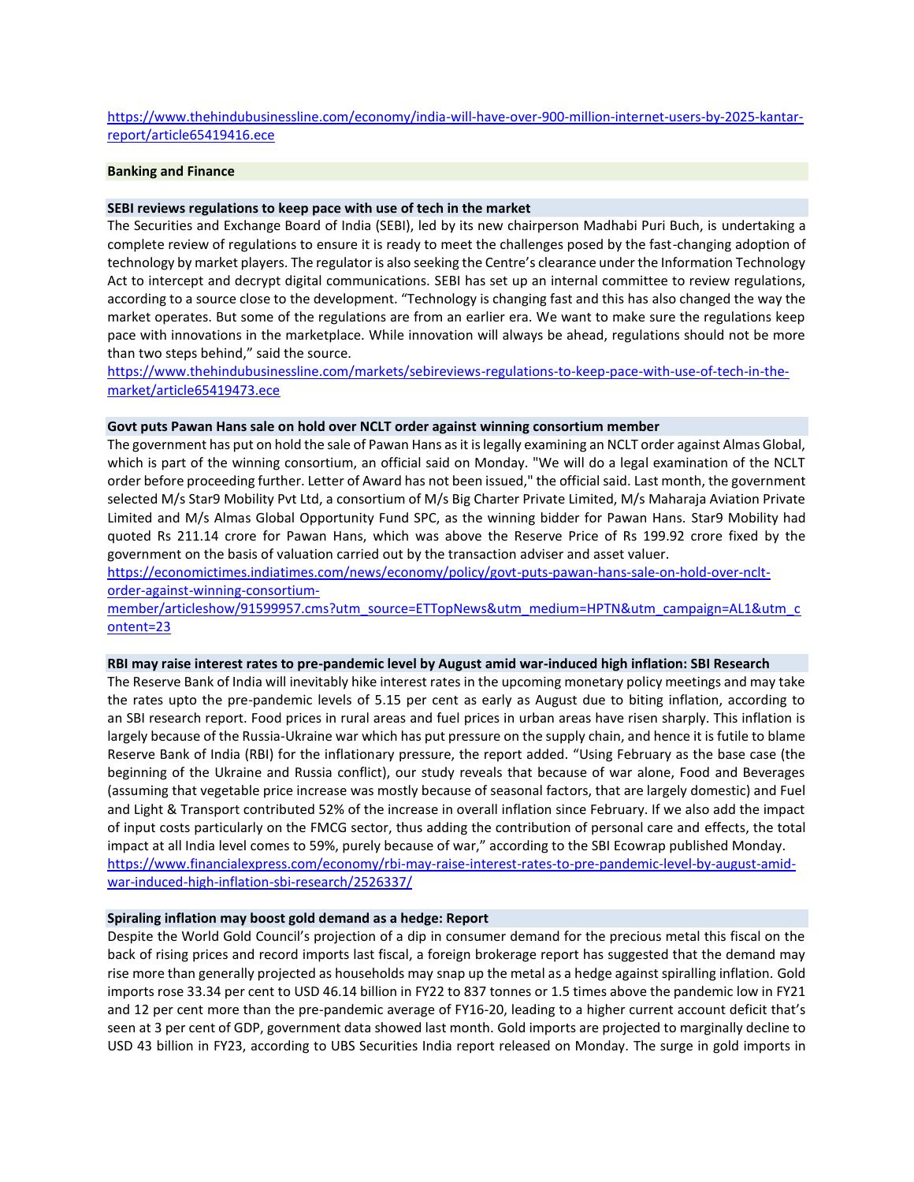[https://www.thehindubusinessline.com/economy/india-will-have-over-900-million-internet-users-by-2025-kantar](https://www.thehindubusinessline.com/economy/india-will-have-over-900-million-internet-users-by-2025-kantar-report/article65419416.ece)[report/article65419416.ece](https://www.thehindubusinessline.com/economy/india-will-have-over-900-million-internet-users-by-2025-kantar-report/article65419416.ece)

# **Banking and Finance**

#### **SEBI reviews regulations to keep pace with use of tech in the market**

The Securities and Exchange Board of India (SEBI), led by its new chairperson Madhabi Puri Buch, is undertaking a complete review of regulations to ensure it is ready to meet the challenges posed by the fast-changing adoption of technology by market players. The regulator is also seeking the Centre's clearance under the Information Technology Act to intercept and decrypt digital communications. SEBI has set up an internal committee to review regulations, according to a source close to the development. "Technology is changing fast and this has also changed the way the market operates. But some of the regulations are from an earlier era. We want to make sure the regulations keep pace with innovations in the marketplace. While innovation will always be ahead, regulations should not be more than two steps behind," said the source.

[https://www.thehindubusinessline.com/markets/sebireviews-regulations-to-keep-pace-with-use-of-tech-in-the](https://www.thehindubusinessline.com/markets/sebireviews-regulations-to-keep-pace-with-use-of-tech-in-the-market/article65419473.ece)[market/article65419473.ece](https://www.thehindubusinessline.com/markets/sebireviews-regulations-to-keep-pace-with-use-of-tech-in-the-market/article65419473.ece)

#### **Govt puts Pawan Hans sale on hold over NCLT order against winning consortium member**

The government has put on hold the sale of Pawan Hans as it is legally examining an NCLT order against Almas Global, which is part of the winning consortium, an official said on Monday. "We will do a legal examination of the NCLT order before proceeding further. Letter of Award has not been issued," the official said. Last month, the government selected M/s Star9 Mobility Pvt Ltd, a consortium of M/s Big Charter Private Limited, M/s Maharaja Aviation Private Limited and M/s Almas Global Opportunity Fund SPC, as the winning bidder for Pawan Hans. Star9 Mobility had quoted Rs 211.14 crore for Pawan Hans, which was above the Reserve Price of Rs 199.92 crore fixed by the government on the basis of valuation carried out by the transaction adviser and asset valuer.

[https://economictimes.indiatimes.com/news/economy/policy/govt-puts-pawan-hans-sale-on-hold-over-nclt](https://economictimes.indiatimes.com/news/economy/policy/govt-puts-pawan-hans-sale-on-hold-over-nclt-order-against-winning-consortium-member/articleshow/91599957.cms?utm_source=ETTopNews&utm_medium=HPTN&utm_campaign=AL1&utm_content=23)[order-against-winning-consortium-](https://economictimes.indiatimes.com/news/economy/policy/govt-puts-pawan-hans-sale-on-hold-over-nclt-order-against-winning-consortium-member/articleshow/91599957.cms?utm_source=ETTopNews&utm_medium=HPTN&utm_campaign=AL1&utm_content=23)

[member/articleshow/91599957.cms?utm\\_source=ETTopNews&utm\\_medium=HPTN&utm\\_campaign=AL1&utm\\_c](https://economictimes.indiatimes.com/news/economy/policy/govt-puts-pawan-hans-sale-on-hold-over-nclt-order-against-winning-consortium-member/articleshow/91599957.cms?utm_source=ETTopNews&utm_medium=HPTN&utm_campaign=AL1&utm_content=23) [ontent=23](https://economictimes.indiatimes.com/news/economy/policy/govt-puts-pawan-hans-sale-on-hold-over-nclt-order-against-winning-consortium-member/articleshow/91599957.cms?utm_source=ETTopNews&utm_medium=HPTN&utm_campaign=AL1&utm_content=23)

#### **RBI may raise interest rates to pre-pandemic level by August amid war-induced high inflation: SBI Research**

The Reserve Bank of India will inevitably hike interest rates in the upcoming monetary policy meetings and may take the rates upto the pre-pandemic levels of 5.15 per cent as early as August due to biting inflation, according to an SBI research report. Food prices in rural areas and fuel prices in urban areas have risen sharply. This inflation is largely because of the Russia-Ukraine war which has put pressure on the supply chain, and hence it is futile to blame Reserve Bank of India (RBI) for the inflationary pressure, the report added. "Using February as the base case (the beginning of the Ukraine and Russia conflict), our study reveals that because of war alone, Food and Beverages (assuming that vegetable price increase was mostly because of seasonal factors, that are largely domestic) and Fuel and Light & Transport contributed 52% of the increase in overall inflation since February. If we also add the impact of input costs particularly on the FMCG sector, thus adding the contribution of personal care and effects, the total impact at all India level comes to 59%, purely because of war," according to the SBI Ecowrap published Monday. [https://www.financialexpress.com/economy/rbi-may-raise-interest-rates-to-pre-pandemic-level-by-august-amid](https://www.financialexpress.com/economy/rbi-may-raise-interest-rates-to-pre-pandemic-level-by-august-amid-war-induced-high-inflation-sbi-research/2526337/)[war-induced-high-inflation-sbi-research/2526337/](https://www.financialexpress.com/economy/rbi-may-raise-interest-rates-to-pre-pandemic-level-by-august-amid-war-induced-high-inflation-sbi-research/2526337/)

### **Spiraling inflation may boost gold demand as a hedge: Report**

Despite the World Gold Council's projection of a dip in consumer demand for the precious metal this fiscal on the back of rising prices and record imports last fiscal, a foreign brokerage report has suggested that the demand may rise more than generally projected as households may snap up the metal as a hedge against spiralling inflation. Gold imports rose 33.34 per cent to USD 46.14 billion in FY22 to 837 tonnes or 1.5 times above the pandemic low in FY21 and 12 per cent more than the pre-pandemic average of FY16-20, leading to a higher current account deficit that's seen at 3 per cent of GDP, government data showed last month. Gold imports are projected to marginally decline to USD 43 billion in FY23, according to UBS Securities India report released on Monday. The surge in gold imports in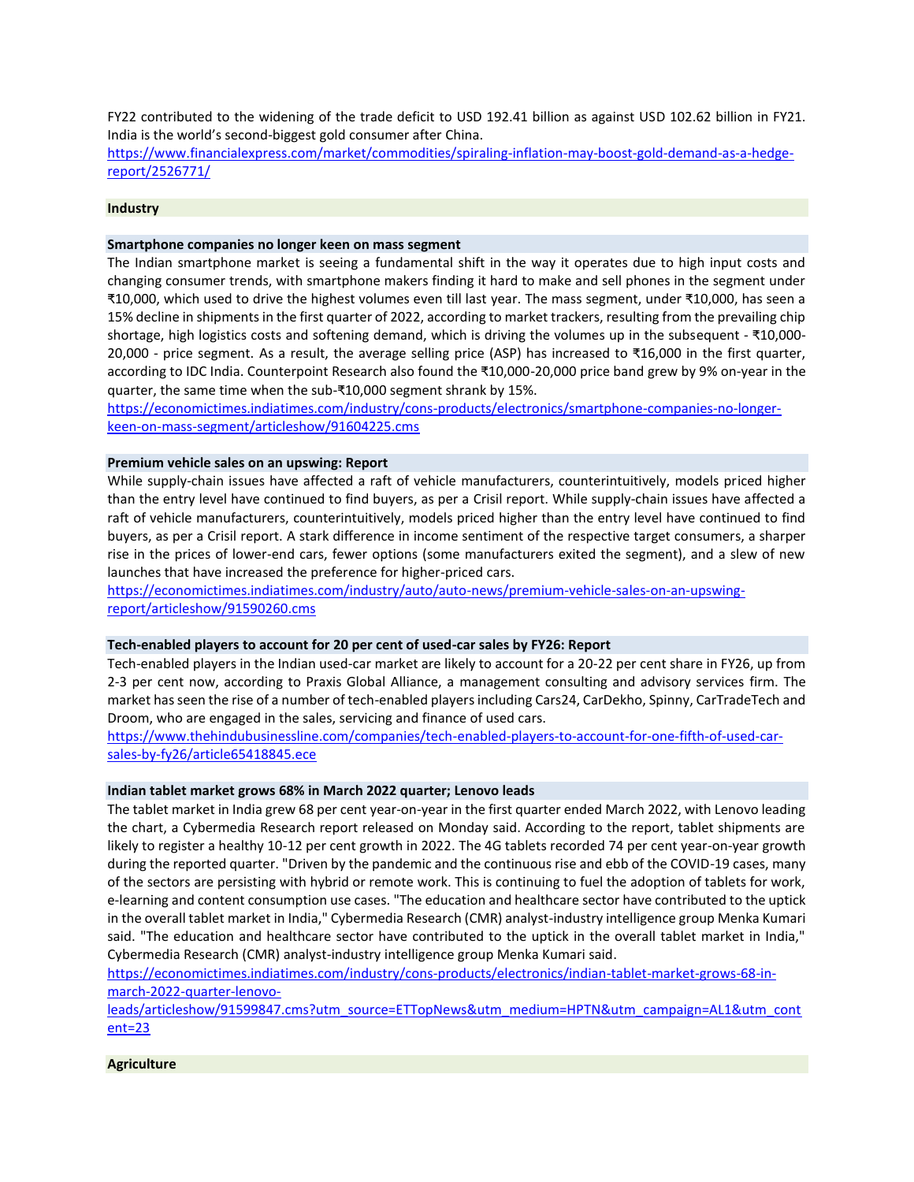FY22 contributed to the widening of the trade deficit to USD 192.41 billion as against USD 102.62 billion in FY21. India is the world's second-biggest gold consumer after China.

[https://www.financialexpress.com/market/commodities/spiraling-inflation-may-boost-gold-demand-as-a-hedge](https://www.financialexpress.com/market/commodities/spiraling-inflation-may-boost-gold-demand-as-a-hedge-report/2526771/)[report/2526771/](https://www.financialexpress.com/market/commodities/spiraling-inflation-may-boost-gold-demand-as-a-hedge-report/2526771/)

#### **Industry**

# **Smartphone companies no longer keen on mass segment**

The Indian smartphone market is seeing a fundamental shift in the way it operates due to high input costs and changing consumer trends, with smartphone makers finding it hard to make and sell phones in the segment under ₹10,000, which used to drive the highest volumes even till last year. The mass segment, under ₹10,000, has seen a 15% decline in shipments in the first quarter of 2022, according to market trackers, resulting from the prevailing chip shortage, high logistics costs and softening demand, which is driving the volumes up in the subsequent - ₹10,000- 20,000 - price segment. As a result, the average selling price (ASP) has increased to ₹16,000 in the first quarter, according to IDC India. Counterpoint Research also found the ₹10,000-20,000 price band grew by 9% on-year in the quarter, the same time when the sub-₹10,000 segment shrank by 15%.

[https://economictimes.indiatimes.com/industry/cons-products/electronics/smartphone-companies-no-longer](https://economictimes.indiatimes.com/industry/cons-products/electronics/smartphone-companies-no-longer-keen-on-mass-segment/articleshow/91604225.cms)[keen-on-mass-segment/articleshow/91604225.cms](https://economictimes.indiatimes.com/industry/cons-products/electronics/smartphone-companies-no-longer-keen-on-mass-segment/articleshow/91604225.cms)

#### **Premium vehicle sales on an upswing: Report**

While supply-chain issues have affected a raft of vehicle manufacturers, counterintuitively, models priced higher than the entry level have continued to find buyers, as per a Crisil report. While supply-chain issues have affected a raft of vehicle manufacturers, counterintuitively, models priced higher than the entry level have continued to find buyers, as per a Crisil report. A stark difference in income sentiment of the respective target consumers, a sharper rise in the prices of lower-end cars, fewer options (some manufacturers exited the segment), and a slew of new launches that have increased the preference for higher-priced cars.

https://economictimes.indiatimes.com/industry/auto/auto-news/premium-vehicle-sales-on-an-upswingreport/articleshow/91590260.cms

#### **Tech-enabled players to account for 20 per cent of used-car sales by FY26: Report**

Tech-enabled players in the Indian used-car market are likely to account for a 20-22 per cent share in FY26, up from 2-3 per cent now, according to Praxis Global Alliance, a management consulting and advisory services firm. The market has seen the rise of a number of tech-enabled players including Cars24, CarDekho, Spinny, CarTradeTech and Droom, who are engaged in the sales, servicing and finance of used cars.

[https://www.thehindubusinessline.com/companies/tech-enabled-players-to-account-for-one-fifth-of-used-car](https://www.thehindubusinessline.com/companies/tech-enabled-players-to-account-for-one-fifth-of-used-car-sales-by-fy26/article65418845.ece)[sales-by-fy26/article65418845.ece](https://www.thehindubusinessline.com/companies/tech-enabled-players-to-account-for-one-fifth-of-used-car-sales-by-fy26/article65418845.ece)

#### **Indian tablet market grows 68% in March 2022 quarter; Lenovo leads**

The tablet market in India grew 68 per cent year-on-year in the first quarter ended March 2022, with Lenovo leading the chart, a Cybermedia Research report released on Monday said. According to the report, tablet shipments are likely to register a healthy 10-12 per cent growth in 2022. The 4G tablets recorded 74 per cent year-on-year growth during the reported quarter. "Driven by the pandemic and the continuous rise and ebb of the COVID-19 cases, many of the sectors are persisting with hybrid or remote work. This is continuing to fuel the adoption of tablets for work, e-learning and content consumption use cases. "The education and healthcare sector have contributed to the uptick in the overall tablet market in India," Cybermedia Research (CMR) analyst-industry intelligence group Menka Kumari said. "The education and healthcare sector have contributed to the uptick in the overall tablet market in India," Cybermedia Research (CMR) analyst-industry intelligence group Menka Kumari said.

[https://economictimes.indiatimes.com/industry/cons-products/electronics/indian-tablet-market-grows-68-in](https://economictimes.indiatimes.com/industry/cons-products/electronics/indian-tablet-market-grows-68-in-march-2022-quarter-lenovo-leads/articleshow/91599847.cms?utm_source=ETTopNews&utm_medium=HPTN&utm_campaign=AL1&utm_content=23)[march-2022-quarter-lenovo-](https://economictimes.indiatimes.com/industry/cons-products/electronics/indian-tablet-market-grows-68-in-march-2022-quarter-lenovo-leads/articleshow/91599847.cms?utm_source=ETTopNews&utm_medium=HPTN&utm_campaign=AL1&utm_content=23)

[leads/articleshow/91599847.cms?utm\\_source=ETTopNews&utm\\_medium=HPTN&utm\\_campaign=AL1&utm\\_cont](https://economictimes.indiatimes.com/industry/cons-products/electronics/indian-tablet-market-grows-68-in-march-2022-quarter-lenovo-leads/articleshow/91599847.cms?utm_source=ETTopNews&utm_medium=HPTN&utm_campaign=AL1&utm_content=23) [ent=23](https://economictimes.indiatimes.com/industry/cons-products/electronics/indian-tablet-market-grows-68-in-march-2022-quarter-lenovo-leads/articleshow/91599847.cms?utm_source=ETTopNews&utm_medium=HPTN&utm_campaign=AL1&utm_content=23)

#### **Agriculture**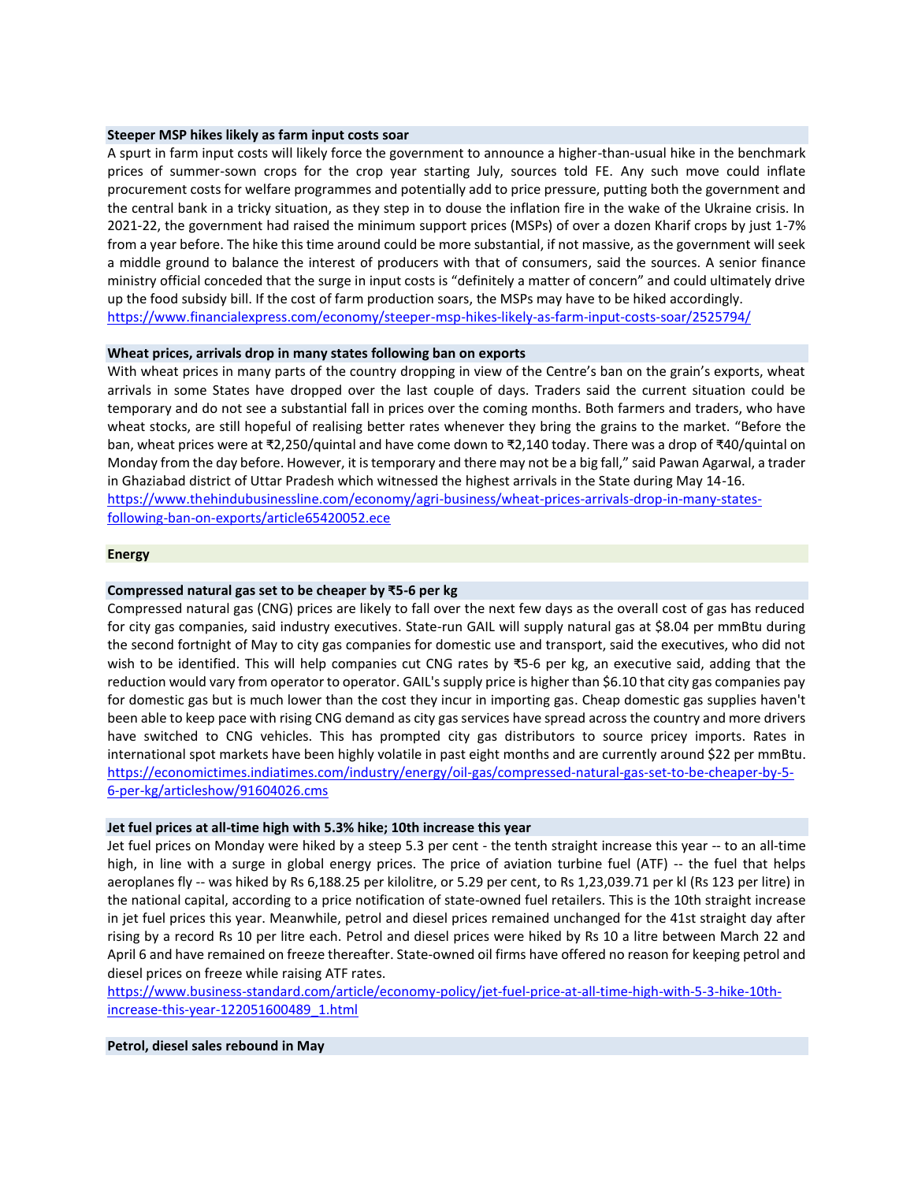### **Steeper MSP hikes likely as farm input costs soar**

A spurt in farm input costs will likely force the government to announce a higher-than-usual hike in the benchmark prices of summer-sown crops for the crop year starting July, sources told FE. Any such move could inflate procurement costs for welfare programmes and potentially add to price pressure, putting both the government and the central bank in a tricky situation, as they step in to douse the inflation fire in the wake of the Ukraine crisis. In 2021-22, the government had raised the minimum support prices (MSPs) of over a dozen Kharif crops by just 1-7% from a year before. The hike this time around could be more substantial, if not massive, as the government will seek a middle ground to balance the interest of producers with that of consumers, said the sources. A senior finance ministry official conceded that the surge in input costs is "definitely a matter of concern" and could ultimately drive up the food subsidy bill. If the cost of farm production soars, the MSPs may have to be hiked accordingly. <https://www.financialexpress.com/economy/steeper-msp-hikes-likely-as-farm-input-costs-soar/2525794/>

# **Wheat prices, arrivals drop in many states following ban on exports**

With wheat prices in many parts of the country dropping in view of the Centre's ban on the grain's exports, wheat arrivals in some States have dropped over the last couple of days. Traders said the current situation could be temporary and do not see a substantial fall in prices over the coming months. Both farmers and traders, who have wheat stocks, are still hopeful of realising better rates whenever they bring the grains to the market. "Before the ban, wheat prices were at ₹2,250/quintal and have come down to ₹2,140 today. There was a drop of ₹40/quintal on Monday from the day before. However, it is temporary and there may not be a big fall," said Pawan Agarwal, a trader in Ghaziabad district of Uttar Pradesh which witnessed the highest arrivals in the State during May 14-16. [https://www.thehindubusinessline.com/economy/agri-business/wheat-prices-arrivals-drop-in-many-states](https://www.thehindubusinessline.com/economy/agri-business/wheat-prices-arrivals-drop-in-many-states-following-ban-on-exports/article65420052.ece)[following-ban-on-exports/article65420052.ece](https://www.thehindubusinessline.com/economy/agri-business/wheat-prices-arrivals-drop-in-many-states-following-ban-on-exports/article65420052.ece)

# **Energy**

# **Compressed natural gas set to be cheaper by ₹5-6 per kg**

Compressed natural gas (CNG) prices are likely to fall over the next few days as the overall cost of gas has reduced for city gas companies, said industry executives. State-run GAIL will supply natural gas at \$8.04 per mmBtu during the second fortnight of May to city gas companies for domestic use and transport, said the executives, who did not wish to be identified. This will help companies cut CNG rates by ₹5-6 per kg, an executive said, adding that the reduction would vary from operator to operator. GAIL's supply price is higher than \$6.10 that city gas companies pay for domestic gas but is much lower than the cost they incur in importing gas. Cheap domestic gas supplies haven't been able to keep pace with rising CNG demand as city gas services have spread across the country and more drivers have switched to CNG vehicles. This has prompted city gas distributors to source pricey imports. Rates in international spot markets have been highly volatile in past eight months and are currently around \$22 per mmBtu. [https://economictimes.indiatimes.com/industry/energy/oil-gas/compressed-natural-gas-set-to-be-cheaper-by-5-](https://economictimes.indiatimes.com/industry/energy/oil-gas/compressed-natural-gas-set-to-be-cheaper-by-5-6-per-kg/articleshow/91604026.cms) [6-per-kg/articleshow/91604026.cms](https://economictimes.indiatimes.com/industry/energy/oil-gas/compressed-natural-gas-set-to-be-cheaper-by-5-6-per-kg/articleshow/91604026.cms)

### **Jet fuel prices at all-time high with 5.3% hike; 10th increase this year**

Jet fuel prices on Monday were hiked by a steep 5.3 per cent - the tenth straight increase this year -- to an all-time high, in line with a surge in global energy prices. The price of aviation turbine fuel (ATF) -- the fuel that helps aeroplanes fly -- was hiked by Rs 6,188.25 per kilolitre, or 5.29 per cent, to Rs 1,23,039.71 per kl (Rs 123 per litre) in the national capital, according to a price notification of state-owned fuel retailers. This is the 10th straight increase in jet fuel prices this year. Meanwhile, petrol and diesel prices remained unchanged for the 41st straight day after rising by a record Rs 10 per litre each. Petrol and diesel prices were hiked by Rs 10 a litre between March 22 and April 6 and have remained on freeze thereafter. State-owned oil firms have offered no reason for keeping petrol and diesel prices on freeze while raising ATF rates.

[https://www.business-standard.com/article/economy-policy/jet-fuel-price-at-all-time-high-with-5-3-hike-10th](https://www.business-standard.com/article/economy-policy/jet-fuel-price-at-all-time-high-with-5-3-hike-10th-increase-this-year-122051600489_1.html)[increase-this-year-122051600489\\_1.html](https://www.business-standard.com/article/economy-policy/jet-fuel-price-at-all-time-high-with-5-3-hike-10th-increase-this-year-122051600489_1.html)

### **Petrol, diesel sales rebound in May**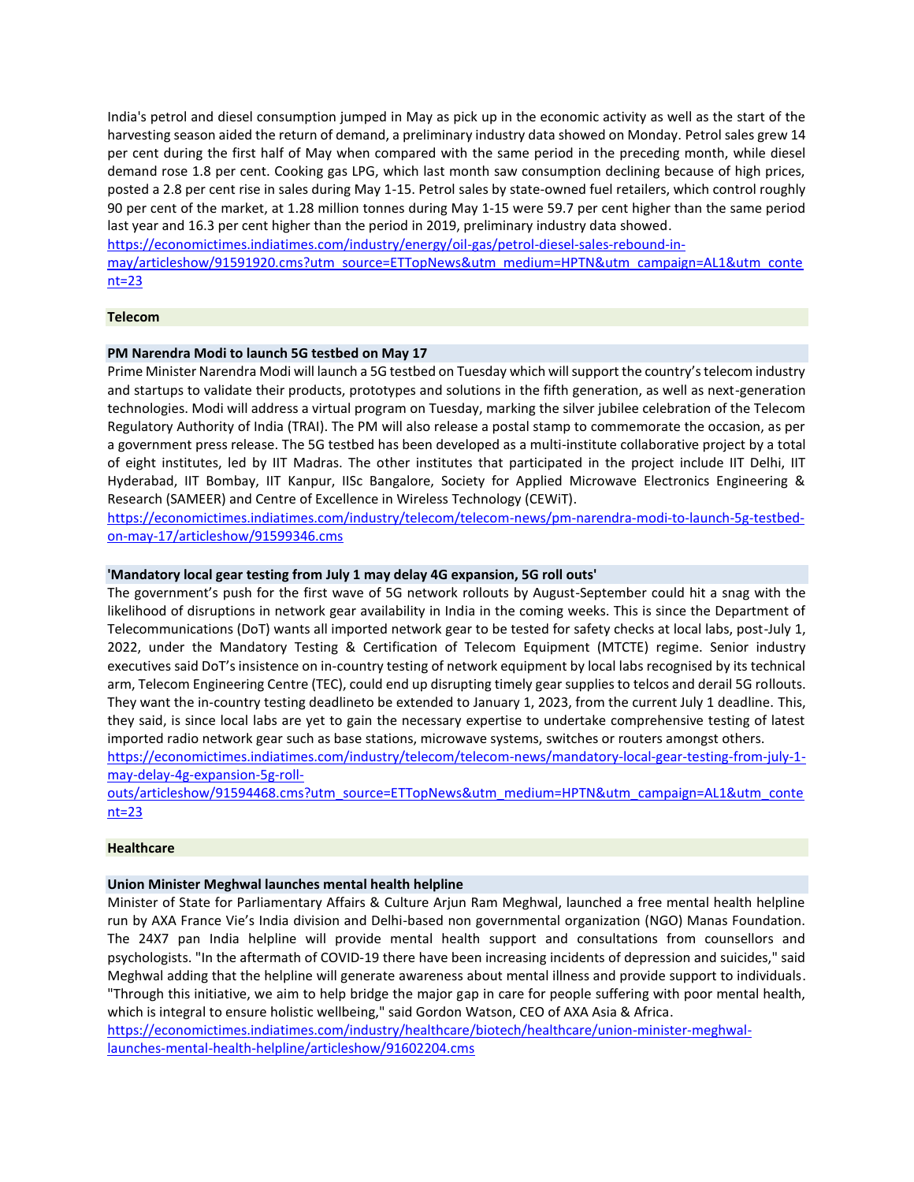India's petrol and diesel consumption jumped in May as pick up in the economic activity as well as the start of the harvesting season aided the return of demand, a preliminary industry data showed on Monday. Petrol sales grew 14 per cent during the first half of May when compared with the same period in the preceding month, while diesel demand rose 1.8 per cent. Cooking gas LPG, which last month saw consumption declining because of high prices, posted a 2.8 per cent rise in sales during May 1-15. Petrol sales by state-owned fuel retailers, which control roughly 90 per cent of the market, at 1.28 million tonnes during May 1-15 were 59.7 per cent higher than the same period last year and 16.3 per cent higher than the period in 2019, preliminary industry data showed.

[https://economictimes.indiatimes.com/industry/energy/oil-gas/petrol-diesel-sales-rebound-in-](https://economictimes.indiatimes.com/industry/energy/oil-gas/petrol-diesel-sales-rebound-in-may/articleshow/91591920.cms?utm_source=ETTopNews&utm_medium=HPTN&utm_campaign=AL1&utm_content=23)

[may/articleshow/91591920.cms?utm\\_source=ETTopNews&utm\\_medium=HPTN&utm\\_campaign=AL1&utm\\_conte](https://economictimes.indiatimes.com/industry/energy/oil-gas/petrol-diesel-sales-rebound-in-may/articleshow/91591920.cms?utm_source=ETTopNews&utm_medium=HPTN&utm_campaign=AL1&utm_content=23) [nt=23](https://economictimes.indiatimes.com/industry/energy/oil-gas/petrol-diesel-sales-rebound-in-may/articleshow/91591920.cms?utm_source=ETTopNews&utm_medium=HPTN&utm_campaign=AL1&utm_content=23)

# **Telecom**

# **PM Narendra Modi to launch 5G testbed on May 17**

Prime Minister Narendra Modi will launch a 5G testbed on Tuesday which will support the country's telecom industry and startups to validate their products, prototypes and solutions in the fifth generation, as well as next-generation technologies. Modi will address a virtual program on Tuesday, marking the silver jubilee celebration of the Telecom Regulatory Authority of India (TRAI). The PM will also release a postal stamp to commemorate the occasion, as per a government press release. The 5G testbed has been developed as a multi-institute collaborative project by a total of eight institutes, led by IIT Madras. The other institutes that participated in the project include IIT Delhi, IIT Hyderabad, IIT Bombay, IIT Kanpur, IISc Bangalore, Society for Applied Microwave Electronics Engineering & Research (SAMEER) and Centre of Excellence in Wireless Technology (CEWiT).

[https://economictimes.indiatimes.com/industry/telecom/telecom-news/pm-narendra-modi-to-launch-5g-testbed](https://economictimes.indiatimes.com/industry/telecom/telecom-news/pm-narendra-modi-to-launch-5g-testbed-on-may-17/articleshow/91599346.cms)[on-may-17/articleshow/91599346.cms](https://economictimes.indiatimes.com/industry/telecom/telecom-news/pm-narendra-modi-to-launch-5g-testbed-on-may-17/articleshow/91599346.cms)

# **'Mandatory local gear testing from July 1 may delay 4G expansion, 5G roll outs'**

The government's push for the first wave of 5G network rollouts by August-September could hit a snag with the likelihood of disruptions in network gear availability in India in the coming weeks. This is since the Department of Telecommunications (DoT) wants all imported network gear to be tested for safety checks at local labs, post-July 1, 2022, under the Mandatory Testing & Certification of Telecom Equipment (MTCTE) regime. Senior industry executives said DoT's insistence on in-country testing of network equipment by local labs recognised by its technical arm, Telecom Engineering Centre (TEC), could end up disrupting timely gear supplies to telcos and derail 5G rollouts. They want the in-country testing deadlineto be extended to January 1, 2023, from the current July 1 deadline. This, they said, is since local labs are yet to gain the necessary expertise to undertake comprehensive testing of latest imported radio network gear such as base stations, microwave systems, switches or routers amongst others.

[https://economictimes.indiatimes.com/industry/telecom/telecom-news/mandatory-local-gear-testing-from-july-1](https://economictimes.indiatimes.com/industry/telecom/telecom-news/mandatory-local-gear-testing-from-july-1-may-delay-4g-expansion-5g-roll-outs/articleshow/91594468.cms?utm_source=ETTopNews&utm_medium=HPTN&utm_campaign=AL1&utm_content=23) [may-delay-4g-expansion-5g-roll-](https://economictimes.indiatimes.com/industry/telecom/telecom-news/mandatory-local-gear-testing-from-july-1-may-delay-4g-expansion-5g-roll-outs/articleshow/91594468.cms?utm_source=ETTopNews&utm_medium=HPTN&utm_campaign=AL1&utm_content=23)

[outs/articleshow/91594468.cms?utm\\_source=ETTopNews&utm\\_medium=HPTN&utm\\_campaign=AL1&utm\\_conte](https://economictimes.indiatimes.com/industry/telecom/telecom-news/mandatory-local-gear-testing-from-july-1-may-delay-4g-expansion-5g-roll-outs/articleshow/91594468.cms?utm_source=ETTopNews&utm_medium=HPTN&utm_campaign=AL1&utm_content=23) [nt=23](https://economictimes.indiatimes.com/industry/telecom/telecom-news/mandatory-local-gear-testing-from-july-1-may-delay-4g-expansion-5g-roll-outs/articleshow/91594468.cms?utm_source=ETTopNews&utm_medium=HPTN&utm_campaign=AL1&utm_content=23)

### **Healthcare**

### **Union Minister Meghwal launches mental health helpline**

Minister of State for Parliamentary Affairs & Culture Arjun Ram Meghwal, launched a free mental health helpline run by AXA France Vie's India division and Delhi-based non governmental organization (NGO) Manas Foundation. The 24X7 pan India helpline will provide mental health support and consultations from counsellors and psychologists. "In the aftermath of COVID-19 there have been increasing incidents of depression and suicides," said Meghwal adding that the helpline will generate awareness about mental illness and provide support to individuals. "Through this initiative, we aim to help bridge the major gap in care for people suffering with poor mental health, which is integral to ensure holistic wellbeing," said Gordon Watson, CEO of AXA Asia & Africa.

[https://economictimes.indiatimes.com/industry/healthcare/biotech/healthcare/union-minister-meghwal](https://economictimes.indiatimes.com/industry/healthcare/biotech/healthcare/union-minister-meghwal-launches-mental-health-helpline/articleshow/91602204.cms)[launches-mental-health-helpline/articleshow/91602204.cms](https://economictimes.indiatimes.com/industry/healthcare/biotech/healthcare/union-minister-meghwal-launches-mental-health-helpline/articleshow/91602204.cms)